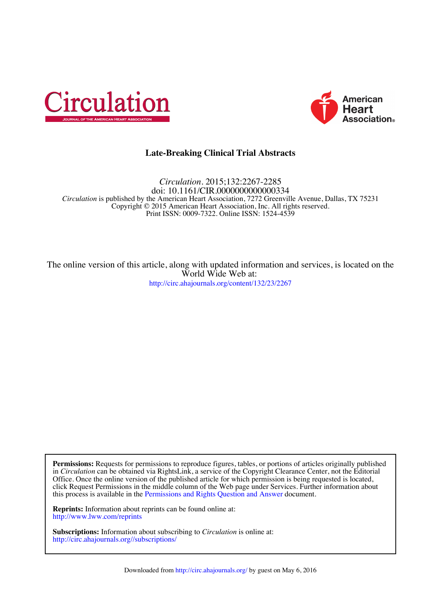



# **Late-Breaking Clinical Trial Abstracts**

Print ISSN: 0009-7322. Online ISSN: 1524-4539 Copyright © 2015 American Heart Association, Inc. All rights reserved. *Circulation* is published by the American Heart Association, 7272 Greenville Avenue, Dallas, TX 75231 doi: 10.1161/CIR.0000000000000334 *Circulation.* 2015;132:2267-2285

<http://circ.ahajournals.org/content/132/23/2267> World Wide Web at: The online version of this article, along with updated information and services, is located on the

this process is available in the [Permissions and Rights Question and Answer d](http://www.ahajournals.org/site/rights/)ocument. click Request Permissions in the middle column of the Web page under Services. Further information about Office. Once the online version of the published article for which permission is being requested is located, in *Circulation* can be obtained via RightsLink, a service of the Copyright Clearance Center, not the Editorial **Permissions:** Requests for permissions to reproduce figures, tables, or portions of articles originally published

<http://www.lww.com/reprints> **Reprints:** Information about reprints can be found online at:

<http://circ.ahajournals.org//subscriptions/> **Subscriptions:** Information about subscribing to *Circulation* is online at: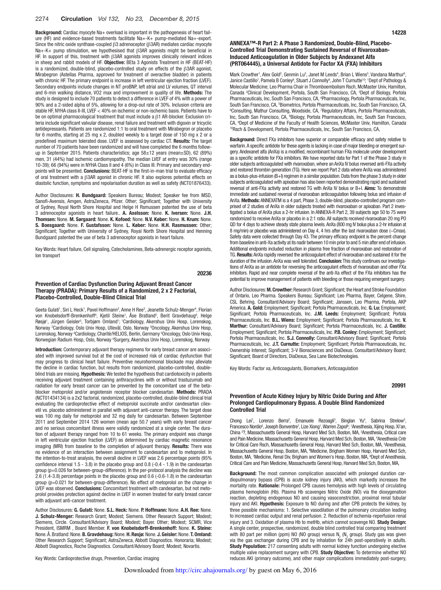Background: Cardiac myocyte Na+ overload is important in the pathogenesis of heart failure (HF) and evidence-based treatments facilitate Na+-K+ pump-mediated Na+-export. Since the nitric oxide synthase-coupled β3 adrenoceptor (β3AR) mediates cardiac myocyte Na+-K+ pump stimulation, we hypothesised that β3AR agonists might be beneficial in HF. In support of this, treatment with β3AR agonists improves clinically relevant indices in sheep and rabbit models of HF. Objective: BEta 3 Agonists Treatment in HF (BEAT-HF) is a randomized, double-blind, placebo-controlled study on effects of the β3AR agonist, Mirabegron (Astellas Pharma, approved for treatment of overactive bladder) in patients with chronic HF. The primary endpoint is increase in left ventricular ejection fraction (LVEF). Secondary endpoints include changes in NT proBNP, left atrial and LV volumes, QT interval and 6-min walking distance, VO2 max and improvement in quality of life. Methods: The study is designed to include 70 patients to detect a difference in LVEF of 4% with a power of 90% and a 2-sided alpha of 5%, allowing for a drop-out rate of 30%. Inclusion criteria are stable HF, NYHA class II-III, LVEF < 40% on ischemic or non-ischemic basis. Patients have to be on optimal pharmacological treatment that must include a β1 AR-blocker. Exclusion criteria include significant valvular disease, renal failure and treatment with digoxin or tricyclic antidepressants. Patients are randomized 1:1 to oral treatment with Mirabegron or placebo for 6 months, starting at 25 mg x 2, doubled weekly to a target dose of 150 mg x 2 or a predefined maximum tolerated dose. LVEF is assessed by cardiac CT. Results: The target number of 70 patients have been randomized and will have completed the 6 months followup in September 2015. Patients characteristics; age 58±12 years (mean±SD), 62 (89%) men, 31 (44%) had ischemic cardiomyopathy. The median LVEF at entry was 30% (range 10-39); 66 (94%) were in NYHA Class II and 4 (6%) in Class III. Primary and secondary endpoints will be presented. Conclusions: BEAT-HF is the first-in-man trial to evaluate efficacy of oral treatment with a β3AR agonist in chronic HF. It also explores potential effects on diastolic function, symptoms and repolarisation duration as well as safety (NCT01876433).

Author Disclosures: H. Bundgaard: Speakers Bureau; Modest; Speaker fee from MSD, Sanofi-Avensis, Amgen, AstraZeneca, Pfizer. Other; Significant; Together with University of Sydney, Royal North Shore Hospital and Helge H Rsmussen patented the use of beta 3 adrenoceptor agonists in heart failure.. A. Axelsson: None. K. Iversen: None. J.H. Thomsen: None. M. Sørgaard: None. K. Kofoed: None. N.V. Køber: None. H. Krum: None. S. Boesgaard: None. F. Gustafsson: None. L. Køber: None. H.H. Rasmussen: Other; Significant; Together with University of Sydney, Royal North Shore Hospital and Henning Bundgaard patented the use of beta 3 adrenoceptor agonists in heart failure.

Key Words: Heart failure, Cell signaling, Catecholamines, Beta-adrenergic receptor agonists, Ion transport

## 20236

## Prevention of Cardiac Dysfunction During Adjuvant Breast Cancer Therapy (PRADA): Primary Results of a Randomized, 2 x 2 Factorial, Placebo-Controlled, Double-Blind Clinical Trial

Geeta Gulati<sup>1</sup>, Siri L Heck<sup>1</sup>, Pavel Hoffmann<sup>2</sup>, Anne H Ree<sup>3</sup>, Jeanette Schulz-Menger<sup>4</sup>, Florian von Knobelsdorff-Brenkenhoff<sup>4</sup>, Kjetil Steine<sup>1</sup>, Åse Bratland<sup>5</sup>, Berit Gravdehaug<sup>6</sup>, Helge Røsjø<sup>1</sup>, Jürgen Geisler<sup>3</sup>, Torbjørn Omland<sup>1</sup>; <sup>1</sup>Cardiology, Akershus Univ Hosp, Lorenskog, Norway <sup>2</sup>Cardiology, Oslo Univ Hosp, Ullevål, Oslo, Norway <sup>3</sup>Oncology, Akershus Univ Hosp, Lorenskog, Norway 4 Cardiology, Charitè/HELIOS, Berlin, Germany 5 Oncology, Oslo Univ Hosp, Norwegian Radium Hosp, Oslo, Norway <sup>6</sup>Surgery, Akershus Univ Hosp, Lorenskog, Norway

Introduction: Contemporary adjuvant therapy regimens for early breast cancer are associated with improved survival but at the cost of increased risk of cardiac dysfunction that may progress to clinical heart failure. Preventive neurohormonal blockade may alleviate the decline in cardiac function, but results from randomized, placebo-controlled, doubleblind trials are missing. Hypothesis: We tested the hypothesis that cardiotoxicity in patients receiving adjuvant treatment containing anthracyclines with or without trastuzumab and radiation for early breast cancer can be prevented by the concomitant use of the betablocker metoprolol and/or angiotensin receptor blocker candesartan. Methods: PRADA (NCT01434134) is a 2x2 factorial, randomized, placebo-controlled, double-blind clinical trial evaluating the cardioprotective effect of metoprolol succinate and/or candesartan cilexetil vs. placebo administered in parallel with adjuvant anti-cancer therapy. The target dose was 100 mg daily for metoprolol and 32 mg daily for candesartan. Between September 2011 and September 2014 126 women (mean age 50.7 years) with early breast cancer and no serious concomitant illness were validly randomized at a single center. The duration of adjuvant therapy ranged from 10 to 61 weeks. The primary endpoint was change in left ventricular ejection fraction (LVEF) as determined by cardiac magnetic resonance imaging (MRI) from baseline to the completion of adjuvant therapy. Results: There was no evidence of an interaction between assignment to candesartan and to metoprolol. In the intention-to-treat analysis, the overall decline in LVEF was 2.6 percentage points (95% confidence interval 1.5 - 3.8) in the placebo group and 0.8 (-0.4 - 1.9) in the candesartan group (p=0.026 for between-group-difference). In the per-protocol analysis the decline was 2.6 (1.4-3.8) percentage points in the placebo group and 0.6 (-0.6-1.8) in the candesartan group (p=0.021 for between-group-difference). No effect of metoprolol on the change in LVEF was observed. Conclusions: Concomitant treatment with candesartan, but not metoprolol provides protection against decline in LVEF in women treated for early breast cancer with adjuvant anti-cancer treatment.

Author Disclosures: G. Gulati: None. S.L. Heck: None. P. Hoffmann: None. A.H. Ree: None. J. Schulz-Menger: Research Grant; Modest; Siemens. Other Research Support; Modest; Siemens, Circle. Consultant/Advisory Board; Modest; Bayer. Other; Modest; SCMR, Vice President, ISMRM , Board Member. F. von Knobelsdorff-Brenkenhoff: None. K. Steine: None. Å. Bratland: None. B. Gravdehaug: None. H. Røsjø: None. J. Geisler: None. T. Omland: Other Research Support; Significant; AstraZeneca, Abbott Diagnostics. Honoraria; Modest; Abbott Diagnostics, Roche Diagnostics. Consultant/Advisory Board; Modest; Novartis.

14228

## ANNEXA™-R Part 2: A Phase 3 Randomized, Double-Blind, Placebo-Controlled Trial Demonstrating Sustained Reversal of Rivaroxaban-Induced Anticoagulation in Older Subjects by Andexanet Alfa (PRT064445), a Universal Antidote for Factor XA (FXA) Inhibitors

Mark Crowther<sup>1</sup>, Alex Gold<sup>2</sup>, Genmin Lu<sup>3</sup>, Janet M Leeds<sup>4</sup>, Brian L Wiens<sup>5</sup>, Vandana Marthur<sup>6</sup> , Janice Castillo<sup>7</sup>, Pamela B Conley<sup>8</sup>, Stuart J Connolly<sup>9</sup>, John T Curnutte<sup>10</sup>; <sup>1</sup>Dept of Pathology & Molecular Medicine; Leo Pharma Chair in Thromboembolism Rsch, McMaster Univ, Hamilton, Canada <sup>2</sup>Clinical Development, Portola, South San Francisco, CA, <sup>3</sup>Dept of Biology, Portola Pharmaceuticals, Inc, South San Francisco, CA, <sup>4</sup>Pharmacology, Portola Pharmaceuticals, Inc, South San Francisco, CA, <sup>s</sup>Biometrics, Portola Pharmaceuticals, Inc, South San Francisco, CA,<br>©Consulting, Mathur Consulting, Moodside, CA, ZBegulatory Affairs, Portola Pharmaceuticals Consulting, Mathur Consulting, Woodside, CA, 7 Regulatory Affairs, Portola Pharmaceuticals, Inc, South San Francisco, CA, <sup>8</sup>Biology, Portola Pharmaceuticals, Inc, South San Francisco, CA, <sup>9</sup>Dept of Medicine of the Faculty of Health Sciences, McMaster Univ, Hamilton, Canada<br><sup>10</sup>Rsch & Development, Portola Pharmaceuticals, Inc, South San Francisco, CA,

**Background:** Direct FXa inhibitors have superior or comparable efficacy and safety relative to warfarin. A specific antidote for these agents is lacking in case of major bleeding or emergent surgery. Andexanet alfa (AnXa) is a modified, recombinant human FXa molecule under development as a specific antidote for FXa inhibitors. We have reported data for Part 1 of the Phase 3 study in older subjects anticoagulated with rivaroxaban, where an AnXa IV bolus reversed anti-FXa activity and restored thrombin generation (TG). Here we report Part 2 data where AnXa was administered as a bolus-plus-infusion (B+I) regimen in a similar population. Data from the phase 3 study in older subjects anticoagulated with apixaban has also been reported demonstrating rapid and sustained reversal of anti-FXa activity and restored TG with AnXa IV bolus or B+I. Aims: To demonstrate immediate and sustained reversal of rivaroxaban anticoagulation following bolus and infusion of AnXa. Methods: ANNEXATM is a 4 part, Phase 3, double-blind, placebo-controlled program comprised of 2 studies of AnXa in older subjects treated with rivaroxaban or apixaban. Part 2 investigated a bolus of AnXa plus a 2-hr infusion. In ANNEXA-R Part 2, 39 subjects age 50 to 75 were randomized to receive AnXa or placebo in a 2:1 ratio. All subjects received rivaroxaban 20 mg PO QD for 4 days to achieve steady state plasma levels. AnXa (800 mg IV bolus plus a 2-hr infusion at 8 mg/min) or placebo was administered on Day 4, 4 hrs after the last rivaroxaban dose (~Cmax). Safety data were collected through Day 43. The primary efficacy endpoint is the percent change from baseline in anti-Xa activity at its nadir between 10 min prior to and 5 min after end of infusion. Additional endpoints included reduction in plasma free fraction of rivaroxaban and restoration of TG. Results: AnXa rapidly reversed the anticoagulant effect of rivaroxaban and sustained it for the duration of the infusion. AnXa was well tolerated. Conclusion: This study continues our investigations of AnXa as an antidote for reversing the anticoagulant effects of rivaroxaban and other FXa inhibitors. Rapid and near complete reversal of the anti-Xa effect of the FXa inhibitors has the potential to improve management of patients with bleeding or those requiring emergent surgery.

Author Disclosures: M. Crowther: Research Grant; Significant; the Heart and Stroke Foundation of Ontario, Leo Pharma. Speakers Bureau; Significant; Leo Pharma, Bayer, Celgene, Shire, CSL Behring. Consultant/Advisory Board; Significant; Janssen, Leo Pharma, Portola, AKP America. A. Gold: Employment; Significant; Portola Pharmaceuticals, Inc. G. Lu: Employment; Significant; Portola Pharmaceuticals, Inc. J.M. Leeds: Employment; Significant; Portola Pharmaceuticals, Inc. B.L. Wiens: Employment; Significant; Portola Pharmaceuticals, Inc. V. Marthur: Consultant/Advisory Board; Significant; Portola Pharmaceuticals, Inc. J. Castillo: Employment; Significant; Portola Pharmaceuticals, Inc. P.B. Conley: Employment; Significant; Portola Pharmaceuticals, Inc. S.J. Connolly: Consultant/Advisory Board; Significant; Portola Pharmaceuticals, Inc. J.T. Curnutte: Employment; Significant; Portola Pharmaceuticals, Inc. Ownership Interest; Significant; 3-V Bionsciences and DiaDexus. Consultant/Advisory Board; Significant; Board of Directors, DiaDexus, Sea Lane Biotechnologies.

Key Words: Factor xa, Anticoagulants, Biomarkers, Anticoagulation

### 20991

## Prevention of Acute Kidney Injury by Nitric Oxide During and After Prolonged Cardiopulmonary Bypass. A Double Blind Randomized Controlled Trial

Chong Lei<sup>1</sup>, Lorenzo Berra<sup>2</sup>, Emanuele Rezoagli<sup>3</sup>, Binglan Yu<sup>4</sup>, Sabrina Strelow<sup>5</sup>, Francesco Nordio<sup>6</sup>, Joseph Bonventre<sup>7</sup>, Lize Xiong<sup>1</sup>, Warren Zapol<sup>8</sup>; <sup>1</sup>Anesthesia, Xijing Hosp, Xi'an, China <sup>2</sup>?, Massachusetts General Hosp, Harvard Med Sch, Boston, MA, <sup>3</sup>Anesthesia, Critical care and Pain Medicine, Massachusetts General Hosp, Harvard Med Sch, Boston, MA, 4 Anesthesia Cntr for Critical Care Rsch, Massachusetts General Hosp, Harvard Med Sch, Boston, MA, <sup>5</sup>Anesthesia, Massachusetts General Hosp, Boston, MA, <sup>6</sup>Medicine, Brigham Women Hosp, Harvard Med Sch, Boston, MA, 7Medicine, Renal Div, Brigham and Women's Hosp, Boston, MA, <sup>8</sup>Dept of Anesthesia, Critical Care and Pain Medicine, Massachusetts General Hosp, Harvard Med Sch, Boston, MA,

Background: The most common complication associated with prolonged duration cardiopulmonary bypass (CPB) is acute kidney injury (AKI), which markedly increases the mortality rate. Rationale: Prolonged CPB causes hemolysis with high levels of circulating plasma hemoglobin (Hb). Plasma Hb scavenges Nitric Oxide (NO) via the dioxygenation reaction, depleting endogenous NO and causing vasoconstriction, proximal renal tubular injury and AKI. Hypothesis: Exposure to NO during and after CPB protects the kidney, by three possible mechanisms: 1. Selective vasodilation of the pulmonary circulation leading to increased cardiac output and renal perfusion. 2. Reduction of ischemia-reperfusion renal injury and 3. Oxidation of plasma Hb to metHb, which cannot scavenge NO. Study Design: A single center, prospective, randomized, double blind controlled trial comparing treatment with 80 part per million (ppm) NO (NO group) versus N<sub>2</sub> (N<sub>2</sub> group). Study gas was given via the gas exchanger during CPB and by inhalation for 24h post-operatively in adults. Study Population: 217 consenting adults with normal kidney function undergoing elective multiple valve replacement surgery with CPB. Study Objective: To determine whether NO reduces AKI (primary outcome), and other major complications immediately post-surgery,

Key Words: Cardioprotective drugs, Prevention, Cardiac imaging